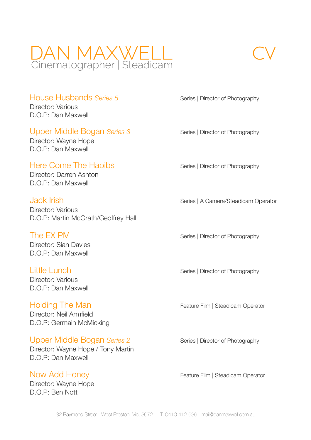# DAN MAXWELL CV Cinematographer | Steadicam



# **House Husbands Series 5** Series | Director of Photography

Director: Various D.O.P: Dan Maxwell

#### Upper Middle Bogan *Series 3* Series | Director of Photography

Director: Wayne Hope D.O.P: Dan Maxwell

### Here Come The Habibs Series | Director of Photography

Director: Darren Ashton D.O.P: Dan Maxwell

**Jack Irish Camera I Series | A Camera** *Steadicam Operator* Director: Various D.O.P: Martin McGrath/Geoffrey Hall

Director: Sian Davies D.O.P: Dan Maxwell

Director: Various D.O.P: Dan Maxwell

Holding The Man **Manual Community Contract Contract Contract Contract Contract Contract Contract Contract Contract Contract Contract Contract Contract Contract Contract Contract Contract Contract Contract Contract Contract** Director: [Neil Armfield](http://www.imdb.com/name/nm0035462/?ref_=tt_ov_dr) D.O.P: [Germain McMicking](http://www.imdb.com/name/nm1718181/?ref_=ttfc_fc_cr8)

Upper Middle Bogan *Series 2* Series | Director of Photography Director: Wayne Hope / Tony Martin D.O.P: Dan Maxwell

Director: Wayne Hope D.O.P: Ben Nott

The EX PM

Little Lunch **Contract Contract Contract Contract Contract Contract Contract Contract Contract Contract Contract Contract Contract Contract Contract Contract Contract Contract Contract Contract Contract Contract Contract C** 

Now Add Honey **Contract Contract Contract Contract Contract Contract Contract Contract Contract Contract Contract Contract Contract Contract Contract Contract Contract Contract Contract Contract Contract Contract Contract**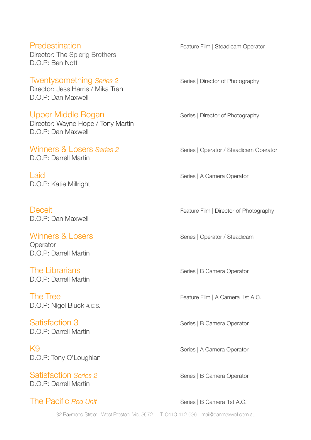**Predestination Contract Contract Contract Contract Contract Contract Contract Contract Contract Contract Contract Contract Contract Contract Contract Contract Contract Contract Contract Contract Contract Contract Contra** Director: The Spierig Brothers D.O.P: Ben Nott

**Twentysomething Series 2** Series | Director of Photography Director: Jess Harris / Mika Tran D.O.P: Dan Maxwell

Upper Middle Bogan Series | Director of Photography Director: Wayne Hope / Tony Martin D.O.P: Dan Maxwell

**Winners & Losers Series 2** Series | Operator / Steadicam Operator D.O.P: Darrell Martin

**Laid Camera Operator Camera Operator Camera Operator Camera Operator** D.O.P: Katie Millright

D.O.P: Dan Maxwell

Winners & Losers **Winners & Losers CONFINGLER** Series | Operator / Steadicam **Operator** D.O.P: Darrell Martin

The Librarians **The Librarians Contract Contract Contract Contract Contract Contract Contract Contract Contract Contract Contract Contract Contract Contract Contract Contract Contract Contract Contract Contract Contract** D.O.P: Darrell Martin

The Tree Feature Film | A Camera 1st A.C. D.O.P: Nigel Bluck *A.C.S.*

**Satisfaction 3** Series | B Camera Operator D.O.P: Darrell Martin

K9 Series | A Camera Operator D.O.P: Tony O'Loughlan

**Satisfaction** *Series 2* **Camera Operator Series | B Camera Operator** D.O.P: Darrell Martin

The Pacific *Red Unit* **Container and Series | B Camera 1st A.C.** 

Deceit **Deceit Contract Contract Contract Contract Contract Contract Contract Contract Contract Contract Contract Contract Contract Contract Contract Contract Contract Contract Contract Contract Contract Contract Contrac** 

32 Raymond Street West Preston, Vic, 3072 T: 0410 412 636 mail@danmaxwell.com.au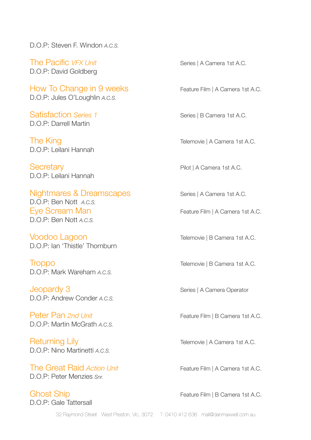D.O.P: Steven F. Windon *A.C.S.*

The Pacific *VFX Unit* **Container and Series | A Camera 1st A.C.** D.O.P: David Goldberg

How To Change in 9 weeks Feature Film | A Camera 1st A.C. D.O.P: Jules O'Loughlin *A.C.S.* 

**Satisfaction** *Series 1* **Camera 1st A.C. Series | B Camera 1st A.C.** D.O.P: Darrell Martin

The King **Contract Contract Contract Contract Contract Contract Contract Contract Contract Contract Contract Contract Contract Contract Contract Contract Contract Contract Contract Contract Contract Contract Contract Contr** D.O.P: Leilani Hannah

Secretary **Secretary CONFIDENTIAL SECRETARY** Pilot | A Camera 1st A.C. D.O.P: Leilani Hannah

Nightmares & Dreamscapes **Series I A Camera 1st A.C.** D.O.P: Ben Nott *A.C.S.* Eye Scream Man **Example 20** Feature Film | A Camera 1st A.C. D.O.P: Ben Nott *A.C.S.*

Voodoo Lagoon **Voodoo Lagoon Voodoo Lagoon B Camera 1st A.C.** D.O.P: Ian 'Thistle' Thornburn

Troppo **Troppo Telemovie | B Camera 1st A.C.** D.O.P: Mark Wareham *A.C.S.*

**Jeopardy 3 Camera Operator Series | A Camera Operator** D.O.P: Andrew Conder *A.C.S.*

Peter Pan 2nd Unit **Peter Pan 2nd Unit Camera 1st A.C.** D.O.P: Martin McGrath *A.C.S.*

Returning Lily **Camera 1st A.C. Returning Lily Camera 1st A.C. Returning Lily** D.O.P: Nino Martinetti *A.C.S.*

The Great Raid *Action Unit* **Example 20 Feature Film | A Camera 1st A.C.** D.O.P: Peter Menzies *Snr.*

D.O.P: Gale Tattersall

Ghost Ship **Ghost Ship Camera 1st A.C. Ghost** Ship **Camera** 1st A.C.

32 Raymond Street West Preston, Vic, 3072 T: 0410 412 636 mail@danmaxwell.com.au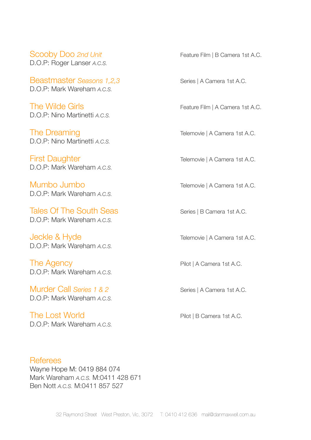Scooby Doo 2nd Unit **Scooby Coopy Coopy** Doo 2nd Unit **Coopy Coopy Coopy Coopy Coopy Coopy Coopy Coopy Coopy Coopy Coopy Coopy Coopy Coopy Coopy Coopy Coopy Coopy Coopy Coopy Coo** D.O.P: Roger Lanser *A.C.S.*

Beastmaster *Seasons* 1,2,3 D.O.P: Mark Wareham *A.C.S.*

The Wilde Girls **Camera 1st A.C. Camera 1st A.C. Camera 1st A.C.** D.O.P: Nino Martinetti *A.C.S.*

The Dreaming **The Dreaming Community** Telemovie | A Camera 1st A.C. D.O.P: Nino Martinetti *A.C.S.*

First Daughter **Camera 1st A.C. Camera 1st A.C. Telemovie | A Camera 1st A.C.** D.O.P: Mark Wareham *A.C.S.*

**Mumbo Jumbo Mumbo 1999 Mumbo 1999 Mumbo 14 Camera 1st A.C.** D.O.P: Mark Wareham *A.C.S.*

Tales Of The South Seas **Seas** Series | B Camera 1st A.C. D.O.P: Mark Wareham *A.C.S.*

**Jeckle & Hyde** *Camera 1st A.C. Camera 1st A.C. Camera 1st A.C.* D.O.P: Mark Wareham *A.C.S.*

The Agency **Example 20** Pilot | A Camera 1st A.C. D.O.P: Mark Wareham *A.C.S.*

Murder Call *Series 1 & 2* **Series 1 & 2 Series | A Camera 1st A.C.** D.O.P: Mark Wareham *A.C.S.* 

The Lost World **Camera 1st A.C.** D.O.P: Mark Wareham *A.C.S.*

## **Referees**

Wayne Hope M: 0419 884 074 Mark Wareham *A.C.S.* M:0411 428 671 Ben Nott *A.C.S.* M:0411 857 527